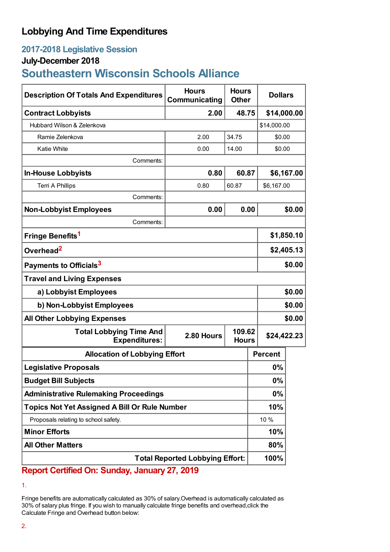## **Lobbying And Time Expenditures**

## **2017-2018 Legislative Session**

## **July-December 2018**

# **Southeastern Wisconsin Schools Alliance**

| <b>Description Of Totals And Expenditures</b>          | <b>Hours</b><br>Communicating | <b>Hours</b><br><b>Other</b> | <b>Dollars</b>                        |             |  |
|--------------------------------------------------------|-------------------------------|------------------------------|---------------------------------------|-------------|--|
| <b>Contract Lobbyists</b>                              | 2.00                          | 48.75                        | \$14,000.00                           |             |  |
| Hubbard Wilson & Zelenkova                             |                               |                              |                                       | \$14,000.00 |  |
| Ramie Zelenkova                                        | 2.00                          | 34.75                        |                                       | \$0.00      |  |
| <b>Katie White</b>                                     | 0.00                          | 14.00                        | \$0.00                                |             |  |
| Comments:                                              |                               |                              |                                       |             |  |
| <b>In-House Lobbyists</b>                              | 0.80                          | 60.87                        |                                       | \$6,167.00  |  |
| <b>Terri A Phillips</b>                                | 0.80                          | 60.87                        | \$6,167.00                            |             |  |
| Comments:                                              |                               |                              |                                       |             |  |
| <b>Non-Lobbyist Employees</b>                          | 0.00                          | 0.00                         |                                       | \$0.00      |  |
| Comments:                                              |                               |                              |                                       |             |  |
| Fringe Benefits <sup>1</sup>                           |                               |                              |                                       | \$1,850.10  |  |
| Overhead <sup>2</sup>                                  |                               |                              |                                       | \$2,405.13  |  |
| Payments to Officials <sup>3</sup>                     |                               |                              |                                       | \$0.00      |  |
| <b>Travel and Living Expenses</b>                      |                               |                              |                                       |             |  |
| a) Lobbyist Employees                                  |                               |                              |                                       | \$0.00      |  |
| b) Non-Lobbyist Employees                              |                               |                              |                                       | \$0.00      |  |
| <b>All Other Lobbying Expenses</b>                     |                               |                              |                                       | \$0.00      |  |
| <b>Total Lobbying Time And</b><br><b>Expenditures:</b> | 2.80 Hours                    |                              | 109.62<br>\$24,422.23<br><b>Hours</b> |             |  |
| <b>Allocation of Lobbying Effort</b>                   |                               |                              | <b>Percent</b>                        |             |  |
| <b>Legislative Proposals</b>                           |                               |                              | 0%                                    |             |  |
| <b>Budget Bill Subjects</b>                            |                               |                              | 0%                                    |             |  |
| <b>Administrative Rulemaking Proceedings</b>           |                               |                              | 0%                                    |             |  |
| <b>Topics Not Yet Assigned A Bill Or Rule Number</b>   |                               |                              | 10%                                   |             |  |
| Proposals relating to school safety.                   |                               |                              | 10 %                                  |             |  |
| <b>Minor Efforts</b>                                   |                               |                              | 10%                                   |             |  |
| <b>All Other Matters</b>                               |                               |                              | 80%                                   |             |  |
| <b>Total Reported Lobbying Effort:</b>                 |                               |                              | 100%                                  |             |  |

## **Report Certified On: Sunday, January 27, 2019**

Fringe benefits are automatically calculated as 30% of salary.Overhead is automatically calculated as 30% of salary plus fringe. If you wish to manually calculate fringe benefits and overhead,click the Calculate Fringe and Overhead button below:

<sup>1.</sup>